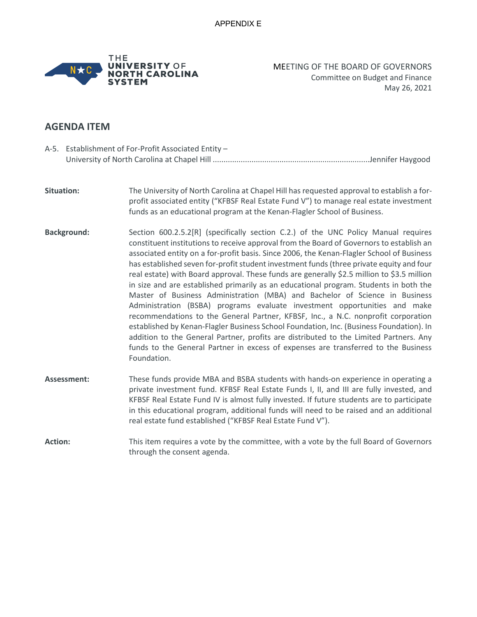

MEETING OF THE BOARD OF GOVERNORS Committee on Budget and Finance May 26, 2021

## **AGENDA ITEM**

- A-5. Establishment of For-Profit Associated Entity University of North Carolina at Chapel Hill .........................................................................Jennifer Haygood
- **Situation:** The University of North Carolina at Chapel Hill has requested approval to establish a forprofit associated entity ("KFBSF Real Estate Fund V") to manage real estate investment funds as an educational program at the Kenan-Flagler School of Business.
- **Background:** Section 600.2.5.2[R] (specifically section C.2.) of the UNC Policy Manual requires constituent institutions to receive approval from the Board of Governors to establish an associated entity on a for-profit basis. Since 2006, the Kenan-Flagler School of Business has established seven for-profit student investment funds (three private equity and four real estate) with Board approval. These funds are generally \$2.5 million to \$3.5 million in size and are established primarily as an educational program. Students in both the Master of Business Administration (MBA) and Bachelor of Science in Business Administration (BSBA) programs evaluate investment opportunities and make recommendations to the General Partner, KFBSF, Inc., a N.C. nonprofit corporation established by Kenan-Flagler Business School Foundation, Inc. (Business Foundation). In addition to the General Partner, profits are distributed to the Limited Partners. Any funds to the General Partner in excess of expenses are transferred to the Business Foundation.
- **Assessment:** These funds provide MBA and BSBA students with hands-on experience in operating a private investment fund. KFBSF Real Estate Funds I, II, and III are fully invested, and KFBSF Real Estate Fund IV is almost fully invested. If future students are to participate in this educational program, additional funds will need to be raised and an additional real estate fund established ("KFBSF Real Estate Fund V").
- Action: This item requires a vote by the committee, with a vote by the full Board of Governors through the consent agenda.